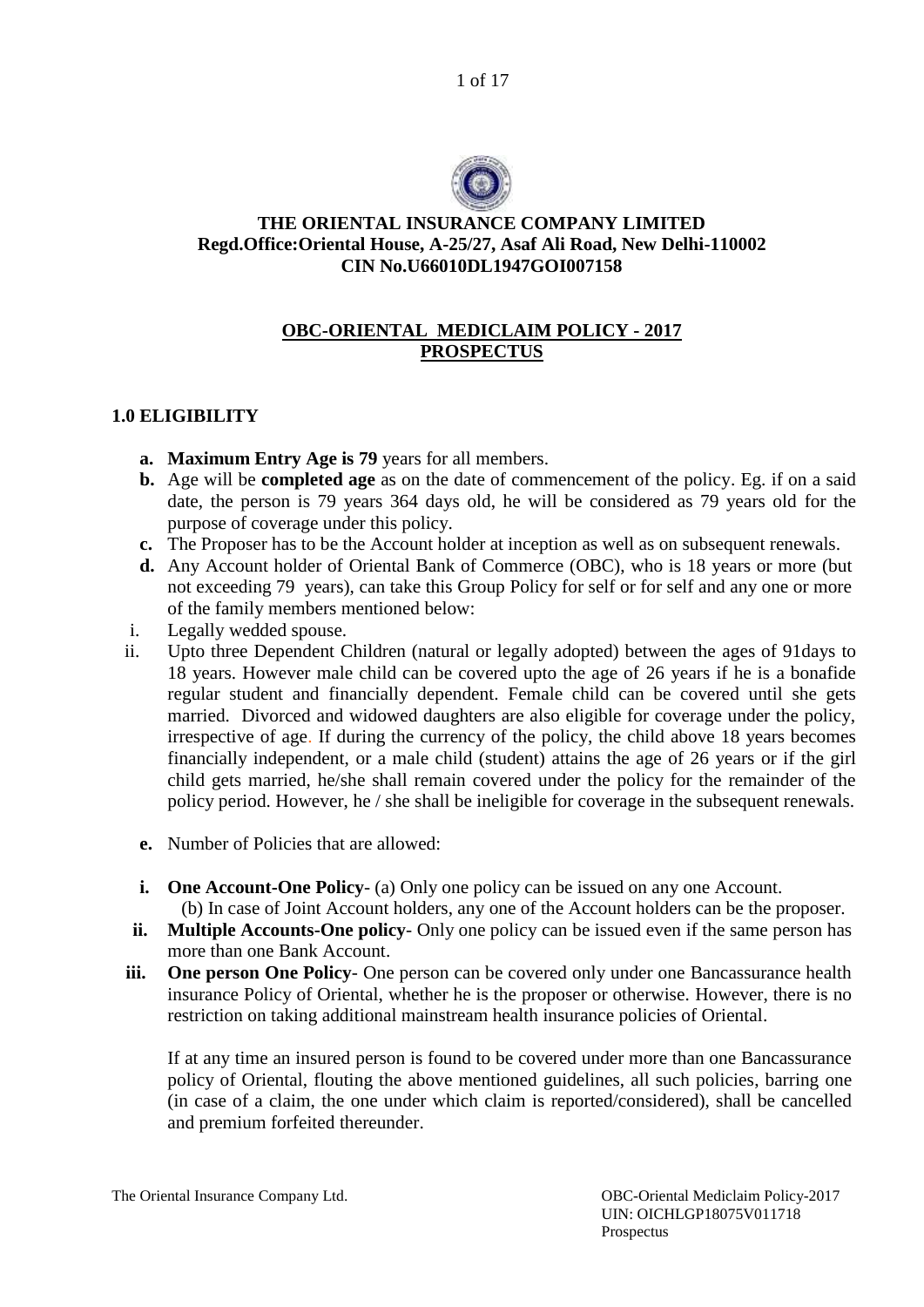1 of 17



### **THE ORIENTAL INSURANCE COMPANY LIMITED Regd.Office:Oriental House, A-25/27, Asaf Ali Road, New Delhi-110002 CIN No.U66010DL1947GOI007158**

# **OBC-ORIENTAL MEDICLAIM POLICY - 2017 PROSPECTUS**

# **1.0 ELIGIBILITY**

- **a. Maximum Entry Age is 79** years for all members.
- **b.** Age will be **completed age** as on the date of commencement of the policy. Eg. if on a said date, the person is 79 years 364 days old, he will be considered as 79 years old for the purpose of coverage under this policy.
- **c.** The Proposer has to be the Account holder at inception as well as on subsequent renewals.
- **d.** Any Account holder of Oriental Bank of Commerce (OBC), who is 18 years or more (but not exceeding 79 years), can take this Group Policy for self or for self and any one or more of the family members mentioned below:
- i. Legally wedded spouse.
- ii. Upto three Dependent Children (natural or legally adopted) between the ages of 91days to 18 years. However male child can be covered upto the age of 26 years if he is a bonafide regular student and financially dependent. Female child can be covered until she gets married. Divorced and widowed daughters are also eligible for coverage under the policy, irrespective of age. If during the currency of the policy, the child above 18 years becomes financially independent, or a male child (student) attains the age of 26 years or if the girl child gets married, he/she shall remain covered under the policy for the remainder of the policy period. However, he / she shall be ineligible for coverage in the subsequent renewals.
	- **e.** Number of Policies that are allowed:
	- **i. One Account-One Policy** (a) Only one policy can be issued on any one Account.

(b) In case of Joint Account holders, any one of the Account holders can be the proposer.

- **ii. Multiple Accounts-One policy** Only one policy can be issued even if the same person has more than one Bank Account.
- **iii. One person One Policy** One person can be covered only under one Bancassurance health insurance Policy of Oriental, whether he is the proposer or otherwise. However, there is no restriction on taking additional mainstream health insurance policies of Oriental.

If at any time an insured person is found to be covered under more than one Bancassurance policy of Oriental, flouting the above mentioned guidelines, all such policies, barring one (in case of a claim, the one under which claim is reported/considered), shall be cancelled and premium forfeited thereunder.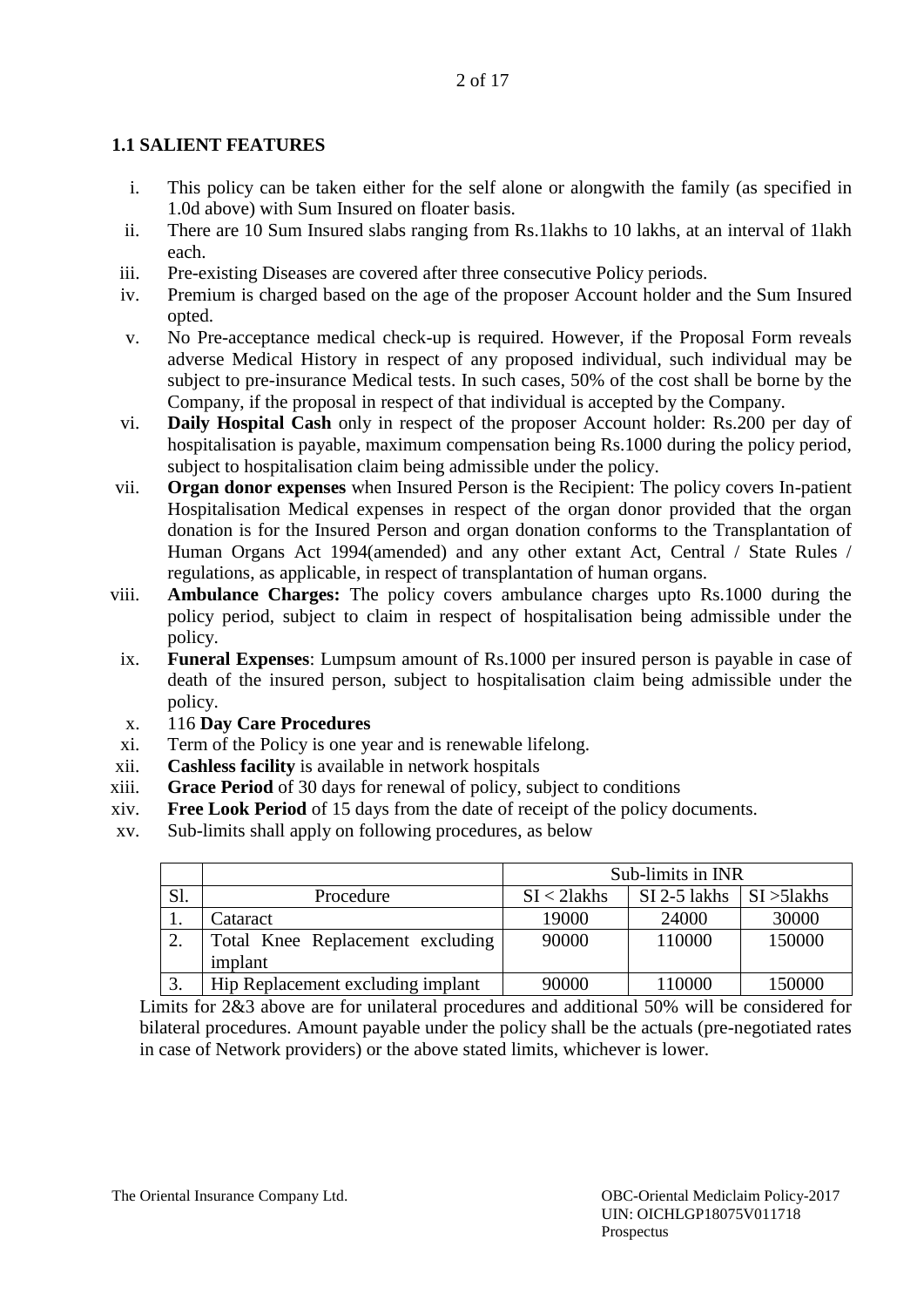# **1.1 SALIENT FEATURES**

- i. This policy can be taken either for the self alone or alongwith the family (as specified in 1.0d above) with Sum Insured on floater basis.
- ii. There are 10 Sum Insured slabs ranging from Rs.1lakhs to 10 lakhs, at an interval of 1lakh each.
- iii. Pre-existing Diseases are covered after three consecutive Policy periods.
- iv. Premium is charged based on the age of the proposer Account holder and the Sum Insured opted.
- v. No Pre-acceptance medical check-up is required. However, if the Proposal Form reveals adverse Medical History in respect of any proposed individual, such individual may be subject to pre-insurance Medical tests. In such cases, 50% of the cost shall be borne by the Company, if the proposal in respect of that individual is accepted by the Company.
- vi. **Daily Hospital Cash** only in respect of the proposer Account holder: Rs.200 per day of hospitalisation is payable, maximum compensation being Rs.1000 during the policy period, subject to hospitalisation claim being admissible under the policy.
- vii. **Organ donor expenses** when Insured Person is the Recipient: The policy covers In-patient Hospitalisation Medical expenses in respect of the organ donor provided that the organ donation is for the Insured Person and organ donation conforms to the Transplantation of Human Organs Act 1994(amended) and any other extant Act, Central / State Rules / regulations, as applicable, in respect of transplantation of human organs.
- viii. **Ambulance Charges:** The policy covers ambulance charges upto Rs.1000 during the policy period, subject to claim in respect of hospitalisation being admissible under the policy.
	- ix. **Funeral Expenses**: Lumpsum amount of Rs.1000 per insured person is payable in case of death of the insured person, subject to hospitalisation claim being admissible under the policy.
	- x. 116 **Day Care Procedures**
- xi. Term of the Policy is one year and is renewable lifelong.
- xii. **Cashless facility** is available in network hospitals
- xiii. **Grace Period** of 30 days for renewal of policy, subject to conditions
- xiv. **Free Look Period** of 15 days from the date of receipt of the policy documents.
- xv. Sub-limits shall apply on following procedures, as below

|     |                                   | Sub-limits in INR |              |                        |
|-----|-----------------------------------|-------------------|--------------|------------------------|
| Sl. | Procedure                         | $SI < 2$ lakhs    | SI 2-5 lakhs | $\vert$ SI $>$ 51 akhs |
| . . | Cataract                          | 19000             | 24000        | 30000                  |
| ۷.  | Total Knee Replacement excluding  | 90000             | 110000       | 150000                 |
|     | implant                           |                   |              |                        |
| J.  | Hip Replacement excluding implant | 90000             | 110000       | 150000                 |

Limits for 2&3 above are for unilateral procedures and additional 50% will be considered for bilateral procedures. Amount payable under the policy shall be the actuals (pre-negotiated rates in case of Network providers) or the above stated limits, whichever is lower.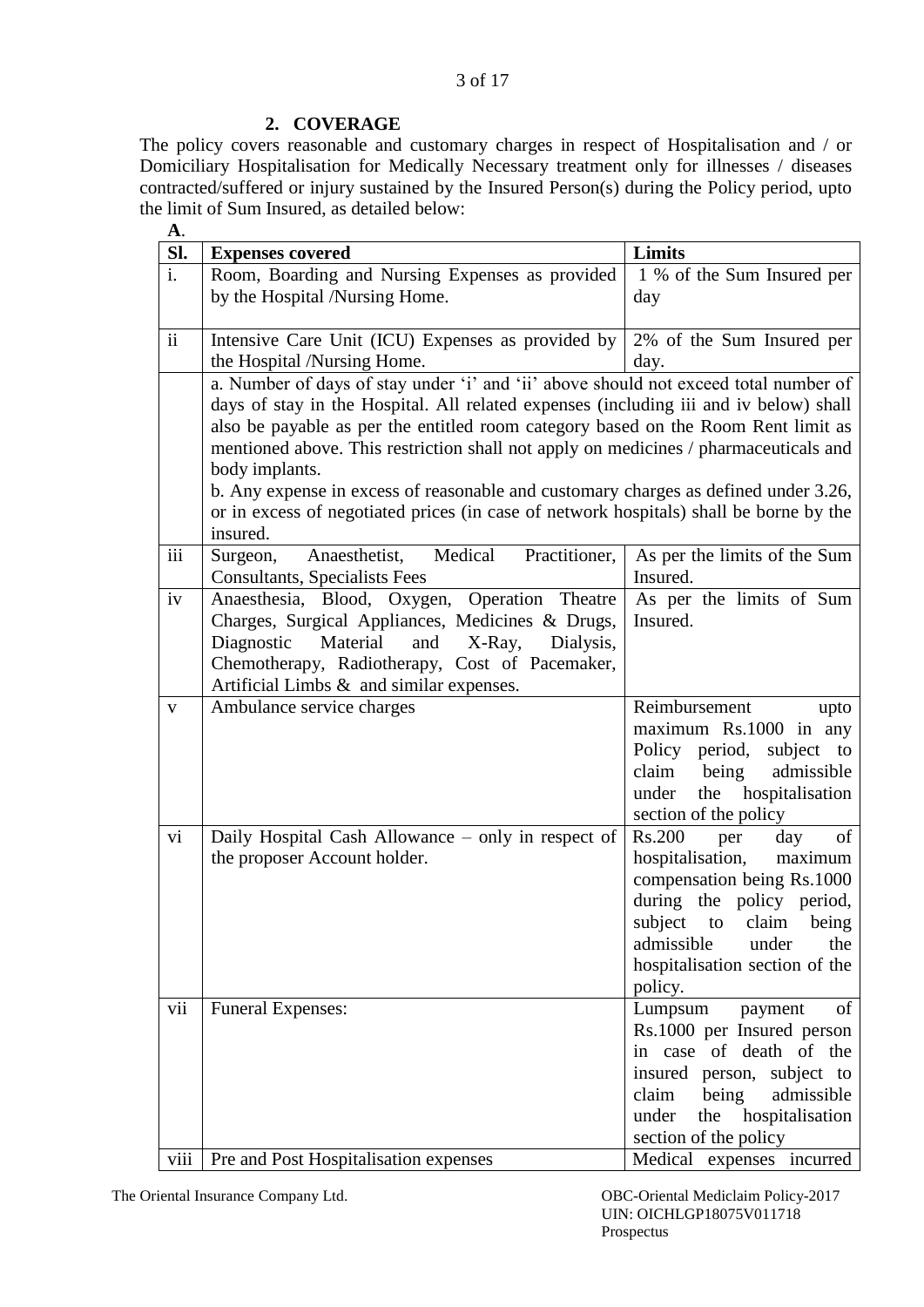## **2. COVERAGE**

The policy covers reasonable and customary charges in respect of Hospitalisation and / or Domiciliary Hospitalisation for Medically Necessary treatment only for illnesses / diseases contracted/suffered or injury sustained by the Insured Person(s) during the Policy period, upto the limit of Sum Insured, as detailed below:

| <b>A.</b>       |                                                                                        |                                                     |  |  |
|-----------------|----------------------------------------------------------------------------------------|-----------------------------------------------------|--|--|
| SI.             | <b>Limits</b><br><b>Expenses covered</b>                                               |                                                     |  |  |
| i.              | Room, Boarding and Nursing Expenses as provided                                        | 1 % of the Sum Insured per                          |  |  |
|                 | by the Hospital /Nursing Home.                                                         | day                                                 |  |  |
|                 |                                                                                        |                                                     |  |  |
| $\ddot{\rm ii}$ | Intensive Care Unit (ICU) Expenses as provided by                                      | 2% of the Sum Insured per                           |  |  |
|                 | the Hospital /Nursing Home.                                                            | day.                                                |  |  |
|                 | a. Number of days of stay under 'i' and 'ii' above should not exceed total number of   |                                                     |  |  |
|                 | days of stay in the Hospital. All related expenses (including iii and iv below) shall  |                                                     |  |  |
|                 | also be payable as per the entitled room category based on the Room Rent limit as      |                                                     |  |  |
|                 | mentioned above. This restriction shall not apply on medicines / pharmaceuticals and   |                                                     |  |  |
|                 | body implants.                                                                         |                                                     |  |  |
|                 | b. Any expense in excess of reasonable and customary charges as defined under 3.26,    |                                                     |  |  |
|                 | or in excess of negotiated prices (in case of network hospitals) shall be borne by the |                                                     |  |  |
|                 | insured.                                                                               |                                                     |  |  |
| iii             | Medical<br>Practitioner,<br>Surgeon,<br>Anaesthetist,                                  | As per the limits of the Sum                        |  |  |
|                 | <b>Consultants, Specialists Fees</b>                                                   | Insured.                                            |  |  |
| iv              | Anaesthesia, Blood, Oxygen, Operation Theatre                                          | As per the limits of Sum                            |  |  |
|                 | Charges, Surgical Appliances, Medicines & Drugs,                                       | Insured.                                            |  |  |
|                 | Material<br>and<br>Diagnostic<br>X-Ray,<br>Dialysis,                                   |                                                     |  |  |
|                 | Chemotherapy, Radiotherapy, Cost of Pacemaker,                                         |                                                     |  |  |
|                 | Artificial Limbs $\&$ and similar expenses.                                            |                                                     |  |  |
| $\mathbf{V}$    | Ambulance service charges                                                              | Reimbursement<br>upto                               |  |  |
|                 |                                                                                        | maximum Rs.1000 in any                              |  |  |
|                 |                                                                                        | Policy period, subject to                           |  |  |
|                 |                                                                                        | claim<br>being<br>admissible                        |  |  |
|                 |                                                                                        | hospitalisation<br>under<br>the                     |  |  |
|                 |                                                                                        | section of the policy                               |  |  |
| vi              | Daily Hospital Cash Allowance – only in respect of                                     | Rs.200<br>of<br>per<br>day                          |  |  |
|                 | the proposer Account holder.                                                           | hospitalisation,<br>maximum                         |  |  |
|                 |                                                                                        | compensation being Rs.1000                          |  |  |
|                 |                                                                                        | during the policy period,<br>subject to claim being |  |  |
|                 |                                                                                        | admissible<br>under<br>the                          |  |  |
|                 |                                                                                        | hospitalisation section of the                      |  |  |
|                 |                                                                                        | policy.                                             |  |  |
| vii             | <b>Funeral Expenses:</b>                                                               | Lumpsum<br>payment<br>of                            |  |  |
|                 |                                                                                        | Rs.1000 per Insured person                          |  |  |
|                 |                                                                                        | in case of death of the                             |  |  |
|                 |                                                                                        | insured person, subject to                          |  |  |
|                 |                                                                                        | claim<br>being<br>admissible                        |  |  |
|                 |                                                                                        | the hospitalisation<br>under                        |  |  |
|                 |                                                                                        | section of the policy                               |  |  |
| viii            | Pre and Post Hospitalisation expenses                                                  | Medical expenses incurred                           |  |  |
|                 |                                                                                        |                                                     |  |  |

The Oriental Insurance Company Ltd. OBC-Oriental Mediclaim Policy-2017 UIN: OICHLGP18075V011718 Prospectus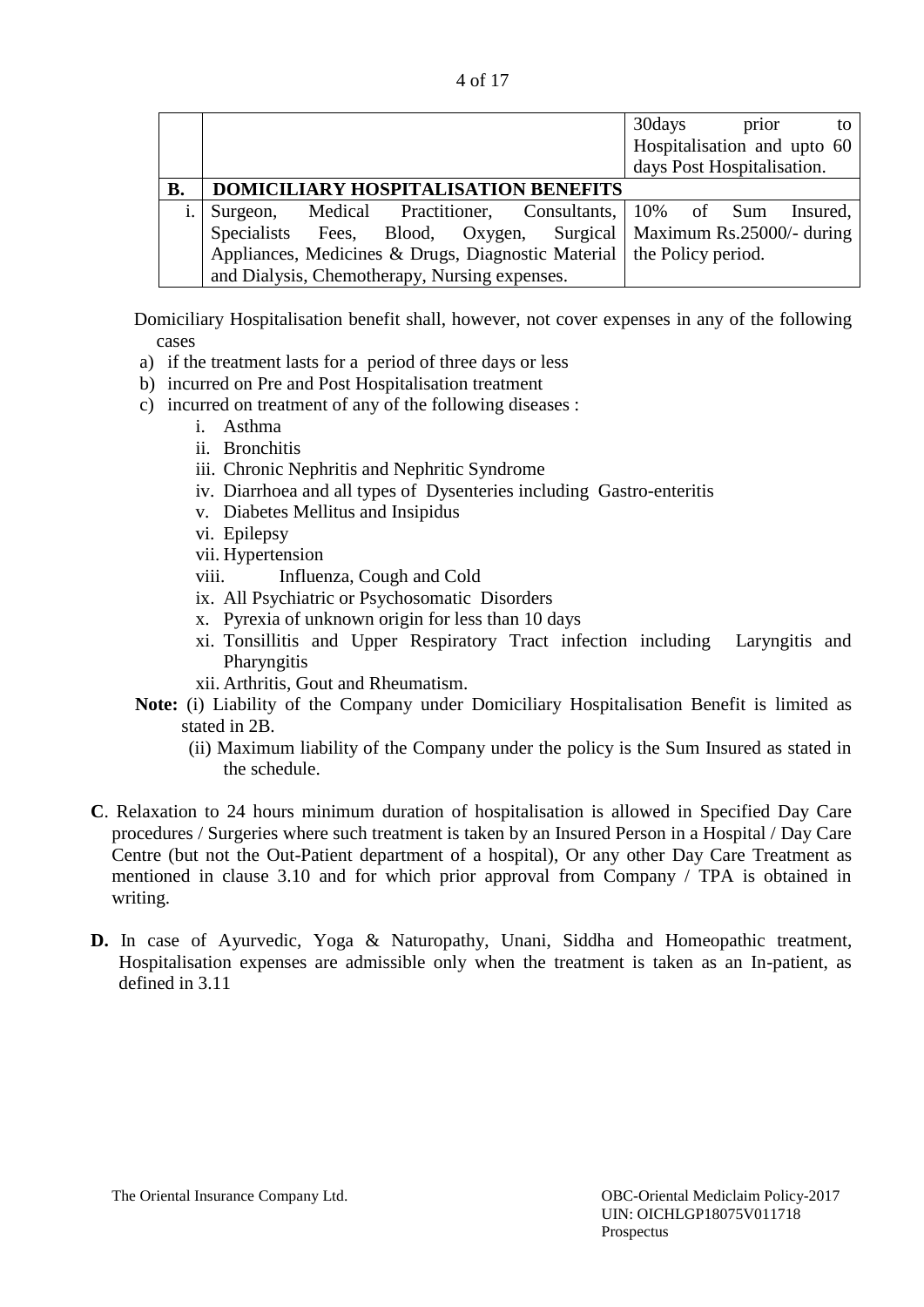| 4 of 17 |
|---------|

|    |                                                                               | 30 days<br>prior<br>to      |
|----|-------------------------------------------------------------------------------|-----------------------------|
|    |                                                                               | Hospitalisation and upto 60 |
|    |                                                                               | days Post Hospitalisation.  |
| В. | DOMICILIARY HOSPITALISATION BENEFITS                                          |                             |
|    | Medical Practitioner, Consultants, 10% of Sum<br>Surgeon,                     | Insured,                    |
|    | Blood, Oxygen, Surgical   Maximum Rs.25000/- during<br>Specialists Fees,      |                             |
|    | Appliances, Medicines & Drugs, Diagnostic Material $\vert$ the Policy period. |                             |
|    | and Dialysis, Chemotherapy, Nursing expenses.                                 |                             |

Domiciliary Hospitalisation benefit shall, however, not cover expenses in any of the following cases

- a) if the treatment lasts for a period of three days or less
- b) incurred on Pre and Post Hospitalisation treatment
- c) incurred on treatment of any of the following diseases :
	- i. Asthma
	- ii. Bronchitis
	- iii. Chronic Nephritis and Nephritic Syndrome
	- iv. Diarrhoea and all types of Dysenteries including Gastro-enteritis
	- v. Diabetes Mellitus and Insipidus
	- vi. Epilepsy
	- vii. Hypertension
	- viii. Influenza, Cough and Cold
	- ix. All Psychiatric or Psychosomatic Disorders
	- x. Pyrexia of unknown origin for less than 10 days
	- xi. Tonsillitis and Upper Respiratory Tract infection including Laryngitis and **Pharyngitis**
	- xii. Arthritis, Gout and Rheumatism.
- **Note:** (i) Liability of the Company under Domiciliary Hospitalisation Benefit is limited as stated in 2B.
	- (ii) Maximum liability of the Company under the policy is the Sum Insured as stated in the schedule.
- **C**. Relaxation to 24 hours minimum duration of hospitalisation is allowed in Specified Day Care procedures / Surgeries where such treatment is taken by an Insured Person in a Hospital / Day Care Centre (but not the Out-Patient department of a hospital), Or any other Day Care Treatment as mentioned in clause 3.10 and for which prior approval from Company / TPA is obtained in writing.
- **D.** In case of Ayurvedic, Yoga & Naturopathy, Unani, Siddha and Homeopathic treatment, Hospitalisation expenses are admissible only when the treatment is taken as an In-patient, as defined in 3.11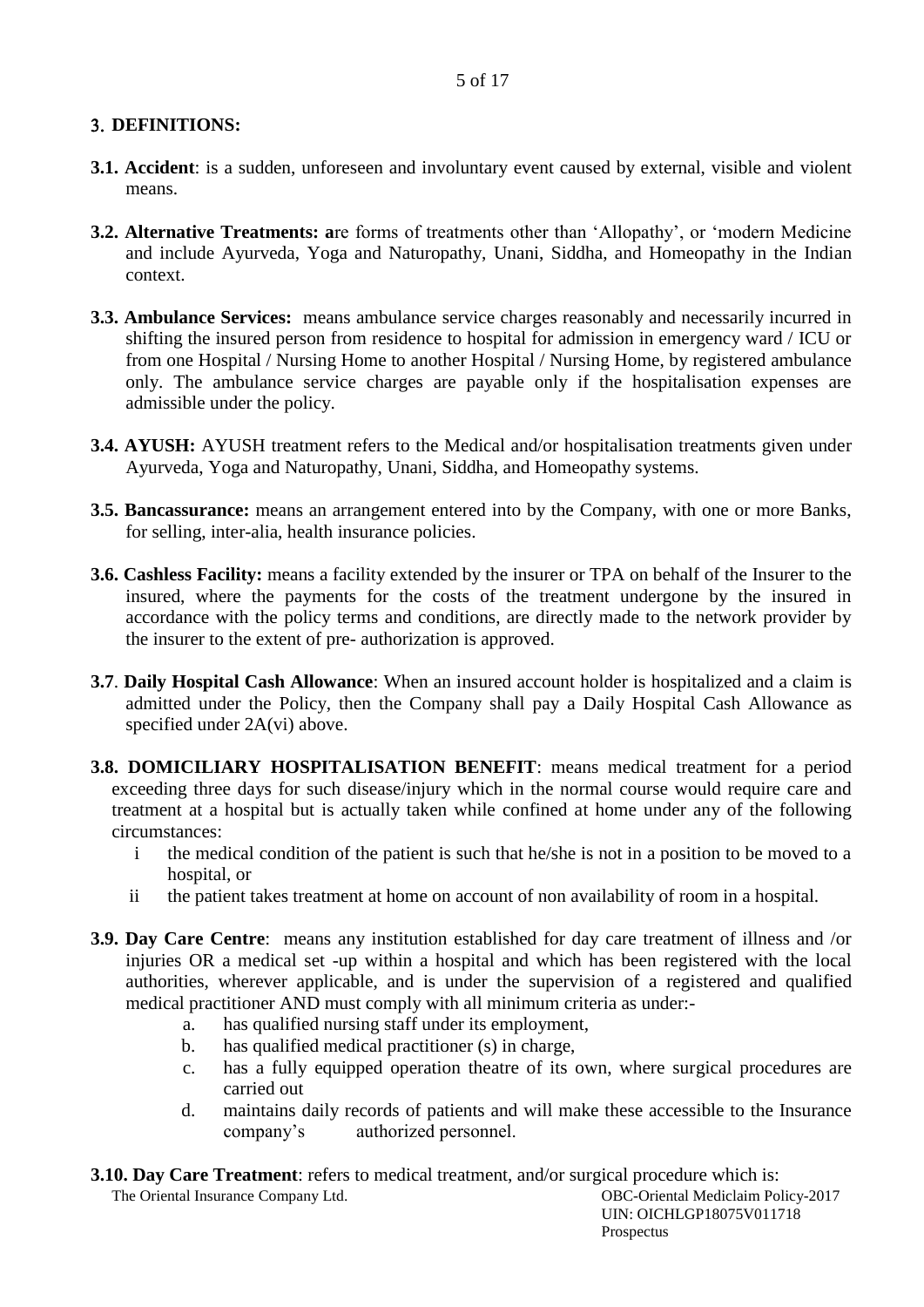# **DEFINITIONS:**

- **3.1. Accident**: is a sudden, unforeseen and involuntary event caused by external, visible and violent means.
- **3.2. Alternative Treatments: a**re forms of treatments other than 'Allopathy', or 'modern Medicine and include Ayurveda, Yoga and Naturopathy, Unani, Siddha, and Homeopathy in the Indian context.
- **3.3. Ambulance Services:** means ambulance service charges reasonably and necessarily incurred in shifting the insured person from residence to hospital for admission in emergency ward / ICU or from one Hospital / Nursing Home to another Hospital / Nursing Home, by registered ambulance only. The ambulance service charges are payable only if the hospitalisation expenses are admissible under the policy.
- **3.4. AYUSH:** AYUSH treatment refers to the Medical and/or hospitalisation treatments given under Ayurveda, Yoga and Naturopathy, Unani, Siddha, and Homeopathy systems.
- **3.5. Bancassurance:** means an arrangement entered into by the Company, with one or more Banks, for selling, inter-alia, health insurance policies.
- **3.6. Cashless Facility:** means a facility extended by the insurer or TPA on behalf of the Insurer to the insured, where the payments for the costs of the treatment undergone by the insured in accordance with the policy terms and conditions, are directly made to the network provider by the insurer to the extent of pre- authorization is approved.
- **3.7**. **Daily Hospital Cash Allowance**: When an insured account holder is hospitalized and a claim is admitted under the Policy, then the Company shall pay a Daily Hospital Cash Allowance as specified under 2A(vi) above.
- **3.8. DOMICILIARY HOSPITALISATION BENEFIT**: means medical treatment for a period exceeding three days for such disease/injury which in the normal course would require care and treatment at a hospital but is actually taken while confined at home under any of the following circumstances:
	- i the medical condition of the patient is such that he/she is not in a position to be moved to a hospital, or
	- ii the patient takes treatment at home on account of non availability of room in a hospital.
- **3.9. Day Care Centre**: means any institution established for day care treatment of illness and /or injuries OR a medical set -up within a hospital and which has been registered with the local authorities, wherever applicable, and is under the supervision of a registered and qualified medical practitioner AND must comply with all minimum criteria as under:
	- a. has qualified nursing staff under its employment,
	- b. has qualified medical practitioner (s) in charge,
	- c. has a fully equipped operation theatre of its own, where surgical procedures are carried out
	- d. maintains daily records of patients and will make these accessible to the Insurance company's authorized personnel.

**3.10. Day Care Treatment**: refers to medical treatment, and/or surgical procedure which is:

The Oriental Insurance Company Ltd. 0BC-Oriental Mediclaim Policy-2017 UIN: OICHLGP18075V011718 Prospectus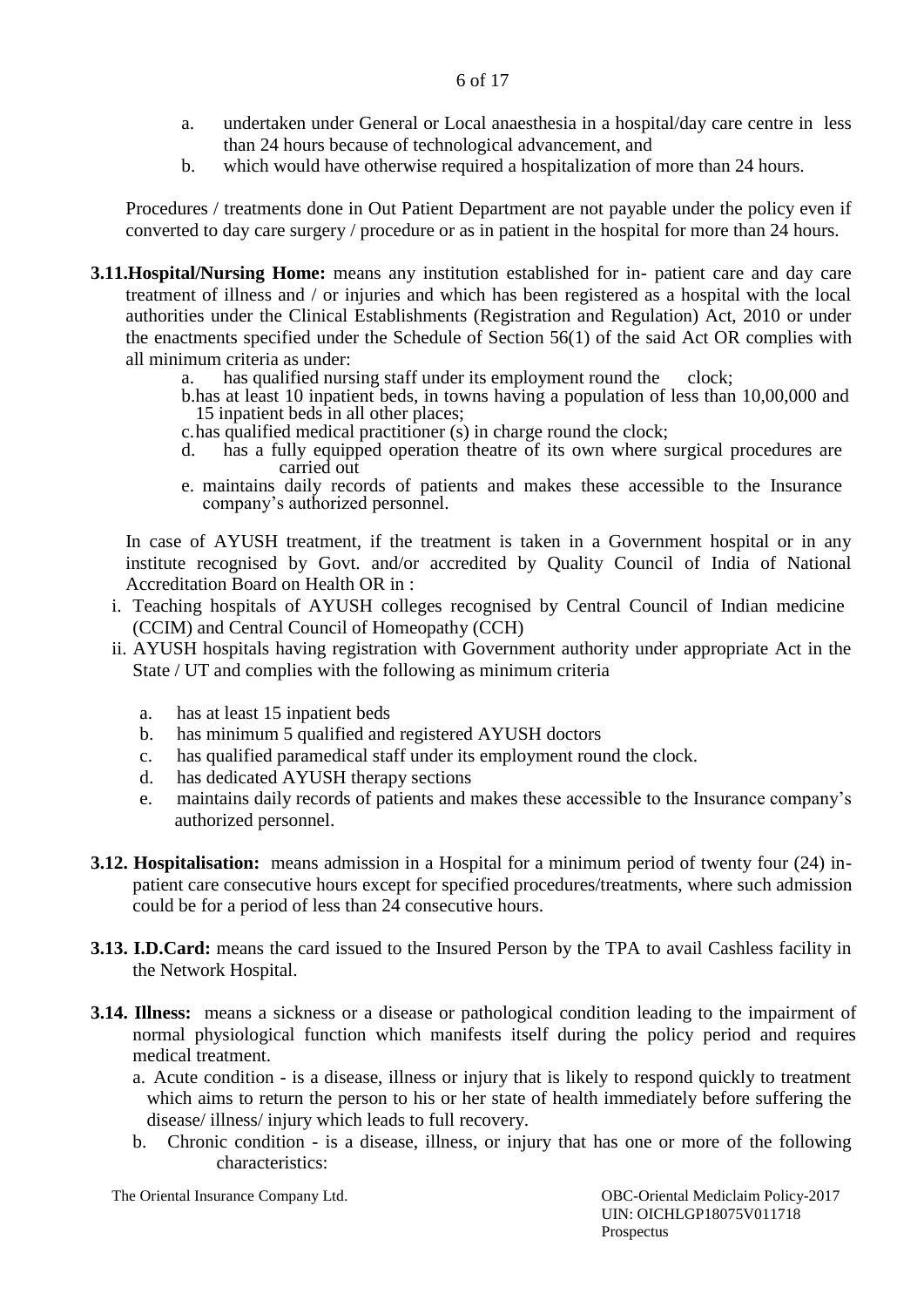- a. undertaken under General or Local anaesthesia in a hospital/day care centre in less than 24 hours because of technological advancement, and
- b. which would have otherwise required a hospitalization of more than 24 hours.

Procedures / treatments done in Out Patient Department are not payable under the policy even if converted to day care surgery / procedure or as in patient in the hospital for more than 24 hours.

- **3.11.Hospital/Nursing Home:** means any institution established for in- patient care and day care treatment of illness and / or injuries and which has been registered as a hospital with the local authorities under the Clinical Establishments (Registration and Regulation) Act, 2010 or under the enactments specified under the Schedule of Section 56(1) of the said Act OR complies with all minimum criteria as under:
	- a. has qualified nursing staff under its employment round the clock;
	- b.has at least 10 inpatient beds, in towns having a population of less than 10,00,000 and 15 inpatient beds in all other places;
	- c.has qualified medical practitioner (s) in charge round the clock;
	- d. has a fully equipped operation theatre of its own where surgical procedures are carried out
	- e. maintains daily records of patients and makes these accessible to the Insurance company's authorized personnel.

In case of AYUSH treatment, if the treatment is taken in a Government hospital or in any institute recognised by Govt. and/or accredited by Quality Council of India of National Accreditation Board on Health OR in :

- i. Teaching hospitals of AYUSH colleges recognised by Central Council of Indian medicine (CCIM) and Central Council of Homeopathy (CCH)
- ii. AYUSH hospitals having registration with Government authority under appropriate Act in the State / UT and complies with the following as minimum criteria
	- a. has at least 15 inpatient beds
	- b. has minimum 5 qualified and registered AYUSH doctors
	- c. has qualified paramedical staff under its employment round the clock.
	- d. has dedicated AYUSH therapy sections
	- e. maintains daily records of patients and makes these accessible to the Insurance company's authorized personnel.
- **3.12. Hospitalisation:** means admission in a Hospital for a minimum period of twenty four (24) inpatient care consecutive hours except for specified procedures/treatments, where such admission could be for a period of less than 24 consecutive hours.
- **3.13. I.D.Card:** means the card issued to the Insured Person by the TPA to avail Cashless facility in the Network Hospital.
- **3.14. Illness:** means a sickness or a disease or pathological condition leading to the impairment of normal physiological function which manifests itself during the policy period and requires medical treatment.
	- a. Acute condition is a disease, illness or injury that is likely to respond quickly to treatment which aims to return the person to his or her state of health immediately before suffering the disease/ illness/ injury which leads to full recovery.
	- b. Chronic condition is a disease, illness, or injury that has one or more of the following characteristics:

The Oriental Insurance Company Ltd. COBC-Oriental Mediclaim Policy-2017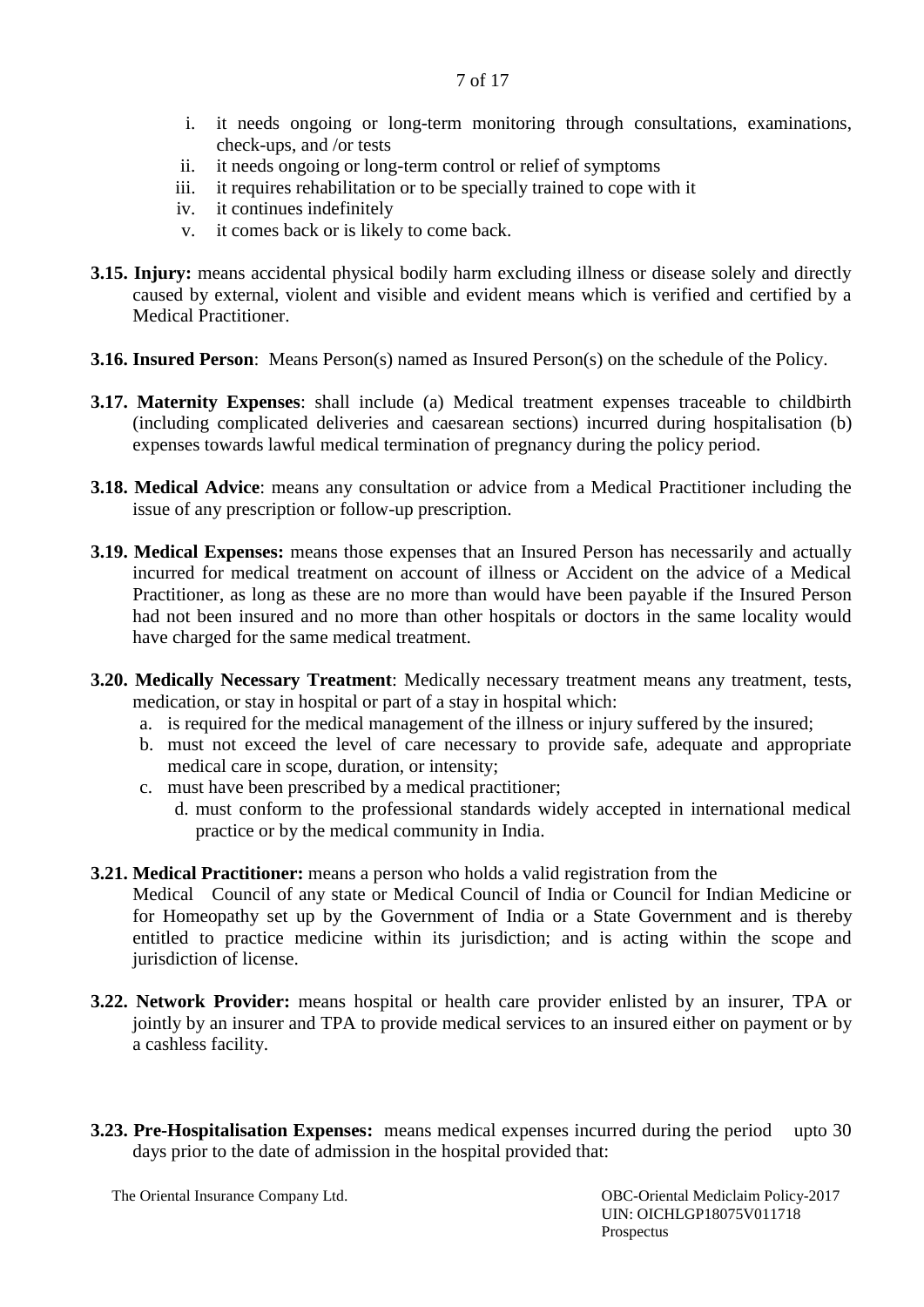- i. it needs ongoing or long-term monitoring through consultations, examinations, check-ups, and /or tests
- ii. it needs ongoing or long-term control or relief of symptoms
- iii. it requires rehabilitation or to be specially trained to cope with it
- iv. it continues indefinitely
- v. it comes back or is likely to come back.
- **3.15. Injury:** means accidental physical bodily harm excluding illness or disease solely and directly caused by external, violent and visible and evident means which is verified and certified by a Medical Practitioner.
- **3.16. Insured Person**: Means Person(s) named as Insured Person(s) on the schedule of the Policy.
- **3.17. Maternity Expenses**: shall include (a) Medical treatment expenses traceable to childbirth (including complicated deliveries and caesarean sections) incurred during hospitalisation (b) expenses towards lawful medical termination of pregnancy during the policy period.
- **3.18. Medical Advice**: means any consultation or advice from a Medical Practitioner including the issue of any prescription or follow-up prescription.
- **3.19. Medical Expenses:** means those expenses that an Insured Person has necessarily and actually incurred for medical treatment on account of illness or Accident on the advice of a Medical Practitioner, as long as these are no more than would have been payable if the Insured Person had not been insured and no more than other hospitals or doctors in the same locality would have charged for the same medical treatment.
- **3.20. Medically Necessary Treatment**: Medically necessary treatment means any treatment, tests, medication, or stay in hospital or part of a stay in hospital which:
	- a. is required for the medical management of the illness or injury suffered by the insured;
	- b. must not exceed the level of care necessary to provide safe, adequate and appropriate medical care in scope, duration, or intensity;
	- c. must have been prescribed by a medical practitioner;
		- d. must conform to the professional standards widely accepted in international medical practice or by the medical community in India.
- **3.21. Medical Practitioner:** means a person who holds a valid registration from the

Medical Council of any state or Medical Council of India or Council for Indian Medicine or for Homeopathy set up by the Government of India or a State Government and is thereby entitled to practice medicine within its jurisdiction; and is acting within the scope and jurisdiction of license.

- **3.22. Network Provider:** means hospital or health care provider enlisted by an insurer, TPA or jointly by an insurer and TPA to provide medical services to an insured either on payment or by a cashless facility.
- **3.23. Pre-Hospitalisation Expenses:** means medical expenses incurred during the period upto 30 days prior to the date of admission in the hospital provided that:

The Oriental Insurance Company Ltd. 0BC-Oriental Mediclaim Policy-2017 UIN: OICHLGP18075V011718 Prospectus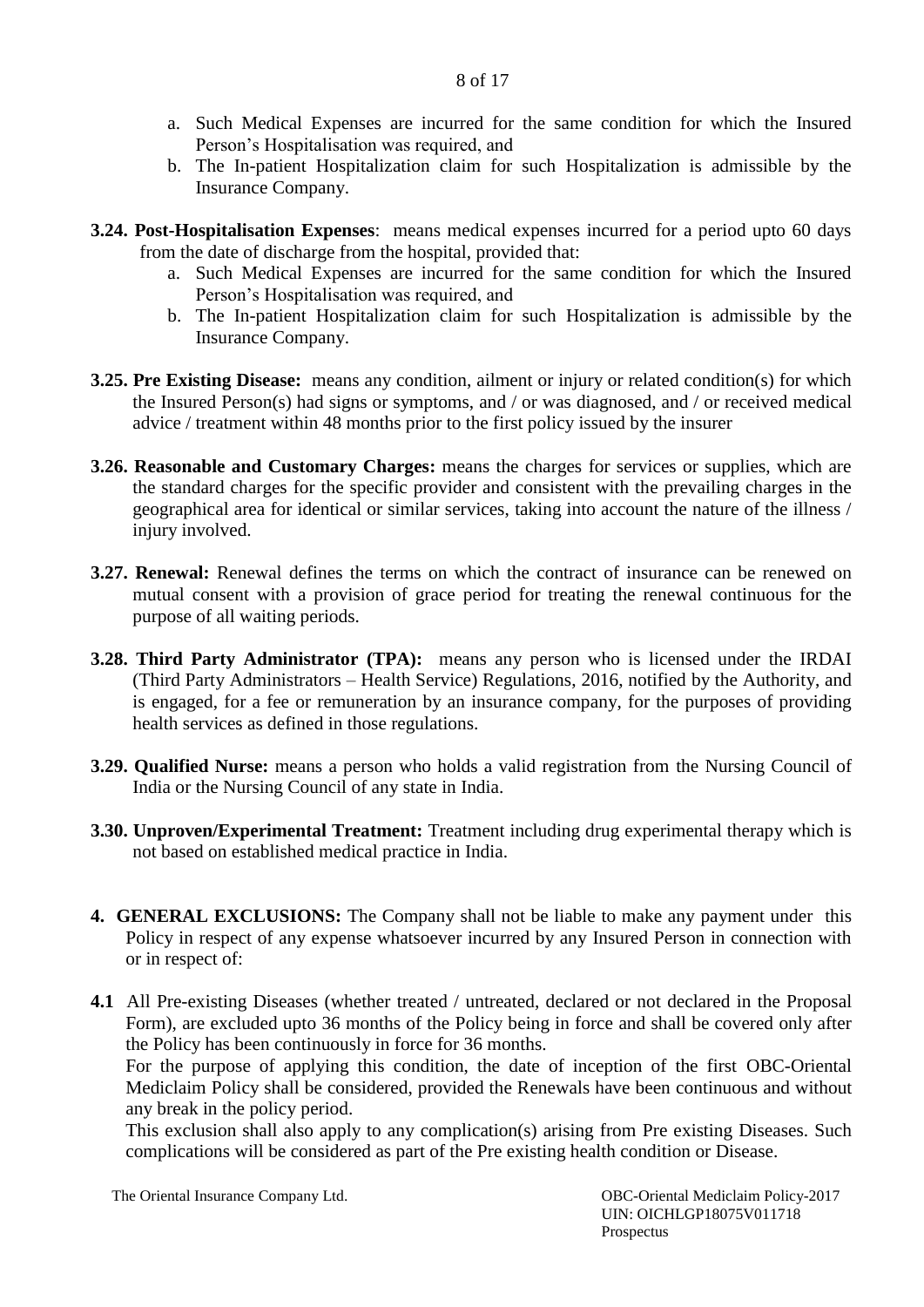- a. Such Medical Expenses are incurred for the same condition for which the Insured Person's Hospitalisation was required, and
- b. The In-patient Hospitalization claim for such Hospitalization is admissible by the Insurance Company.
- **3.24. Post-Hospitalisation Expenses**: means medical expenses incurred for a period upto 60 days from the date of discharge from the hospital, provided that:
	- a. Such Medical Expenses are incurred for the same condition for which the Insured Person's Hospitalisation was required, and
	- b. The In-patient Hospitalization claim for such Hospitalization is admissible by the Insurance Company.
- **3.25. Pre Existing Disease:** means any condition, ailment or injury or related condition(s) for which the Insured Person(s) had signs or symptoms, and / or was diagnosed, and / or received medical advice / treatment within 48 months prior to the first policy issued by the insurer
- **3.26. Reasonable and Customary Charges:** means the charges for services or supplies, which are the standard charges for the specific provider and consistent with the prevailing charges in the geographical area for identical or similar services, taking into account the nature of the illness / injury involved.
- **3.27. Renewal:** Renewal defines the terms on which the contract of insurance can be renewed on mutual consent with a provision of grace period for treating the renewal continuous for the purpose of all waiting periods.
- **3.28. Third Party Administrator (TPA):** means any person who is licensed under the IRDAI (Third Party Administrators – Health Service) Regulations, 2016, notified by the Authority, and is engaged, for a fee or remuneration by an insurance company, for the purposes of providing health services as defined in those regulations.
- **3.29. Qualified Nurse:** means a person who holds a valid registration from the Nursing Council of India or the Nursing Council of any state in India.
- **3.30. Unproven/Experimental Treatment:** Treatment including drug experimental therapy which is not based on established medical practice in India.
- **4. GENERAL EXCLUSIONS:** The Company shall not be liable to make any payment under this Policy in respect of any expense whatsoever incurred by any Insured Person in connection with or in respect of:
- **4.1** All Pre-existing Diseases (whether treated / untreated, declared or not declared in the Proposal Form), are excluded upto 36 months of the Policy being in force and shall be covered only after the Policy has been continuously in force for 36 months.

For the purpose of applying this condition, the date of inception of the first OBC-Oriental Mediclaim Policy shall be considered, provided the Renewals have been continuous and without any break in the policy period.

This exclusion shall also apply to any complication(s) arising from Pre existing Diseases. Such complications will be considered as part of the Pre existing health condition or Disease.

The Oriental Insurance Company Ltd. 0BC-Oriental Mediclaim Policy-2017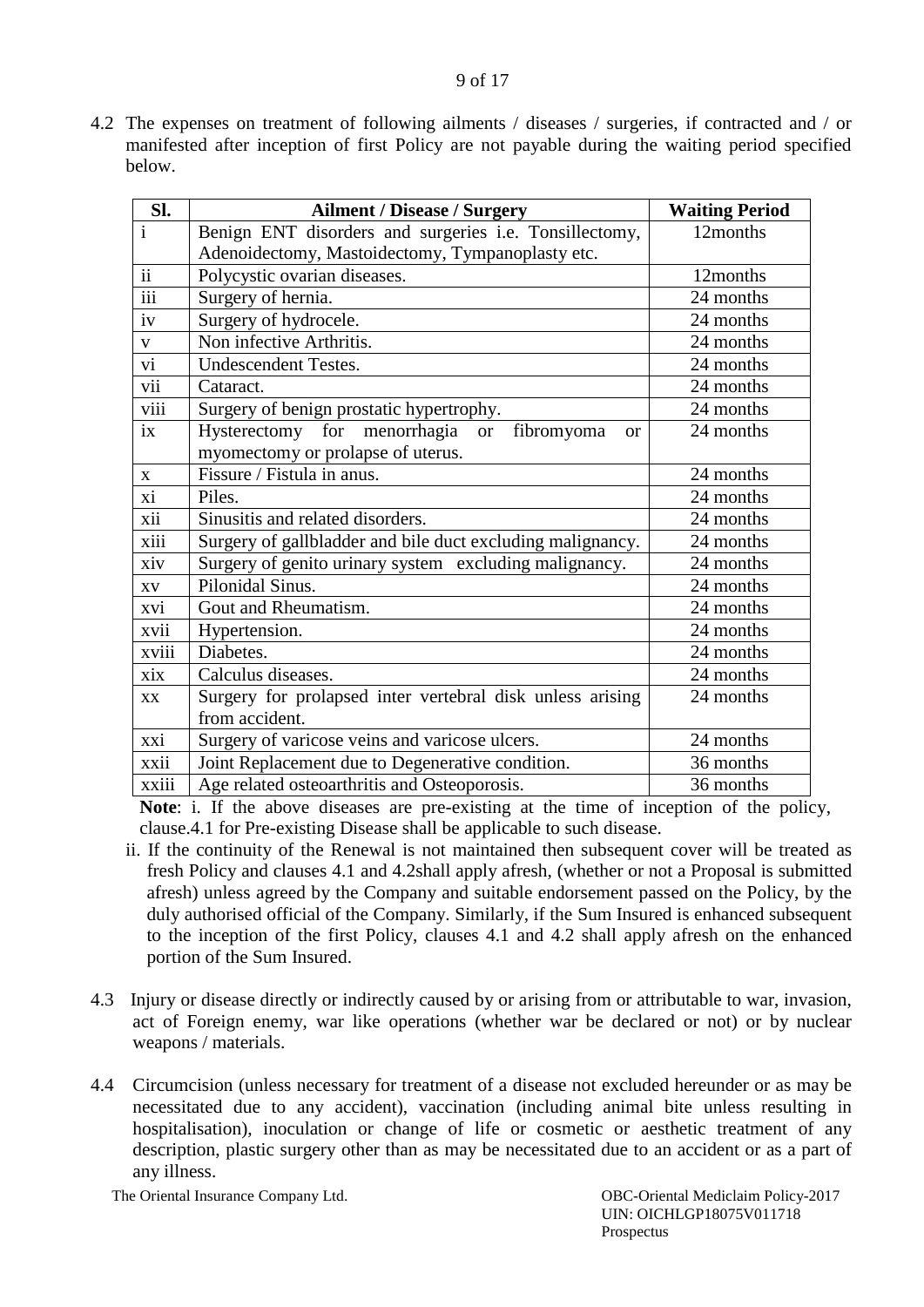4.2 The expenses on treatment of following ailments / diseases / surgeries, if contracted and / or manifested after inception of first Policy are not payable during the waiting period specified below.

| Sl.                     | <b>Ailment / Disease / Surgery</b>                                   | <b>Waiting Period</b> |
|-------------------------|----------------------------------------------------------------------|-----------------------|
| $\overline{\mathbf{i}}$ | Benign ENT disorders and surgeries i.e. Tonsillectomy,               | 12months              |
|                         | Adenoidectomy, Mastoidectomy, Tympanoplasty etc.                     |                       |
| $\overline{ii}$         | Polycystic ovarian diseases.                                         | 12months              |
| $\overline{iii}$        | Surgery of hernia.                                                   | 24 months             |
| iv                      | Surgery of hydrocele.                                                | 24 months             |
| $\mathbf{V}$            | Non infective Arthritis.                                             | 24 months             |
| vi                      | <b>Undescendent Testes.</b>                                          | 24 months             |
| vii                     | Cataract.                                                            | 24 months             |
| viii                    | Surgery of benign prostatic hypertrophy.                             | 24 months             |
| $\overline{1}X$         | Hysterectomy for menorrhagia<br>fibromyoma<br><b>or</b><br><b>or</b> | 24 months             |
|                         | myomectomy or prolapse of uterus.                                    |                       |
| $\mathbf{X}$            | Fissure / Fistula in anus.                                           | 24 months             |
| xi                      | Piles.                                                               | 24 months             |
| xii                     | Sinusitis and related disorders.                                     | 24 months             |
| xiii                    | Surgery of gallbladder and bile duct excluding malignancy.           | 24 months             |
| xiv                     | Surgery of genito urinary system excluding malignancy.               | 24 months             |
| $\mathbf{X}\mathbf{V}$  | Pilonidal Sinus.                                                     | 24 months             |
| xvi                     | Gout and Rheumatism.                                                 | 24 months             |
| xvii                    | Hypertension.                                                        | 24 months             |
| xviii                   | Diabetes.                                                            | 24 months             |
| xix                     | Calculus diseases.                                                   | 24 months             |
| <b>XX</b>               | Surgery for prolapsed inter vertebral disk unless arising            | 24 months             |
|                         | from accident.                                                       |                       |
| xxi                     | Surgery of varicose veins and varicose ulcers.                       | 24 months             |
| xxii                    | Joint Replacement due to Degenerative condition.                     | 36 months             |
| <b>XX111</b>            | Age related osteoarthritis and Osteoporosis.                         | 36 months             |

**Note**: i. If the above diseases are pre-existing at the time of inception of the policy, clause.4.1 for Pre-existing Disease shall be applicable to such disease.

- ii. If the continuity of the Renewal is not maintained then subsequent cover will be treated as fresh Policy and clauses 4.1 and 4.2shall apply afresh, (whether or not a Proposal is submitted afresh) unless agreed by the Company and suitable endorsement passed on the Policy, by the duly authorised official of the Company. Similarly, if the Sum Insured is enhanced subsequent to the inception of the first Policy, clauses 4.1 and 4.2 shall apply afresh on the enhanced portion of the Sum Insured.
- 4.3 Injury or disease directly or indirectly caused by or arising from or attributable to war, invasion, act of Foreign enemy, war like operations (whether war be declared or not) or by nuclear weapons / materials.
- 4.4 Circumcision (unless necessary for treatment of a disease not excluded hereunder or as may be necessitated due to any accident), vaccination (including animal bite unless resulting in hospitalisation), inoculation or change of life or cosmetic or aesthetic treatment of any description, plastic surgery other than as may be necessitated due to an accident or as a part of any illness.

The Oriental Insurance Company Ltd. 0BC-Oriental Mediclaim Policy-2017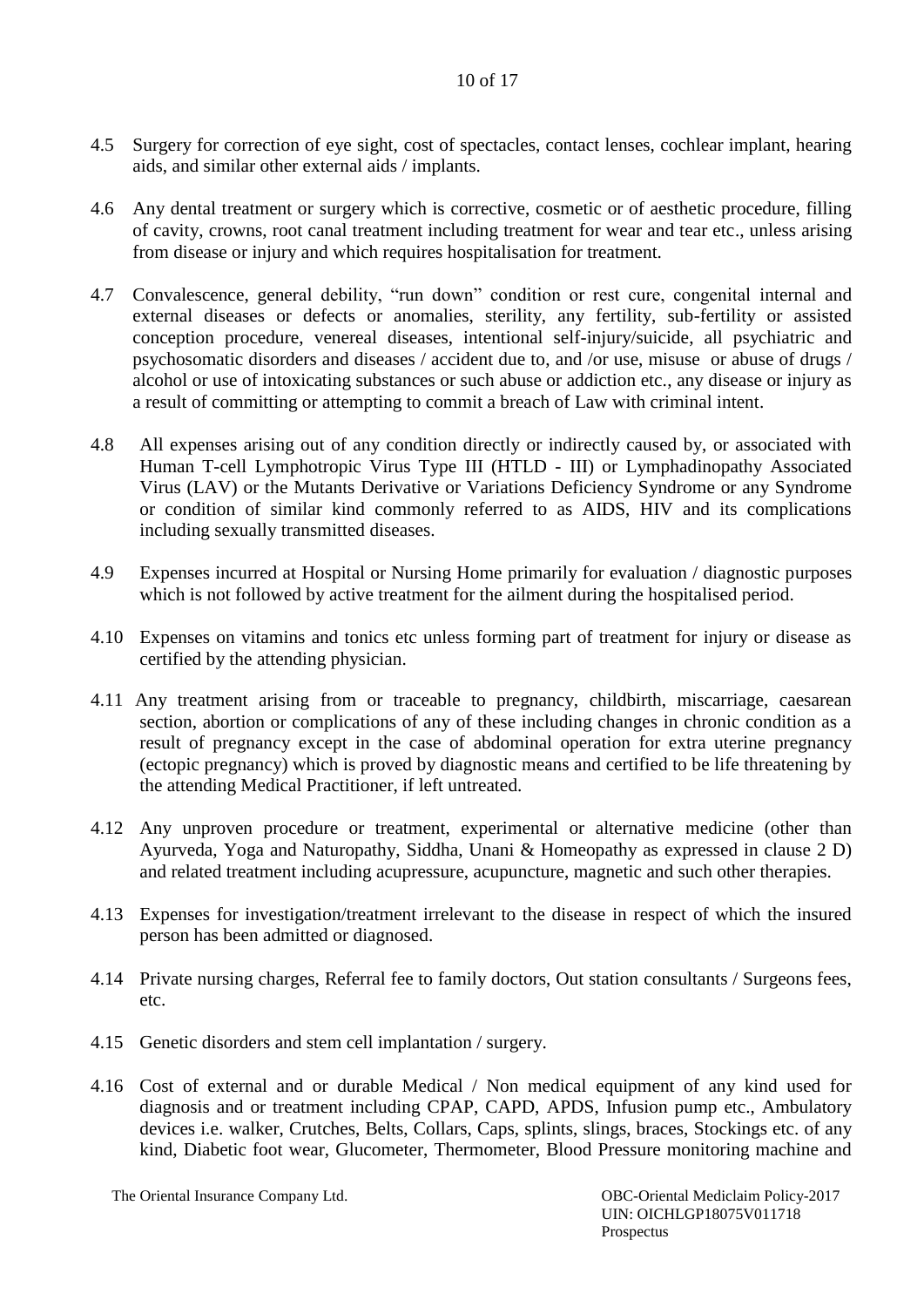- 4.5 Surgery for correction of eye sight, cost of spectacles, contact lenses, cochlear implant, hearing aids, and similar other external aids / implants.
- 4.6 Any dental treatment or surgery which is corrective, cosmetic or of aesthetic procedure, filling of cavity, crowns, root canal treatment including treatment for wear and tear etc., unless arising from disease or injury and which requires hospitalisation for treatment.
- 4.7 Convalescence, general debility, "run down" condition or rest cure, congenital internal and external diseases or defects or anomalies, sterility, any fertility, sub-fertility or assisted conception procedure, venereal diseases, intentional self-injury/suicide, all psychiatric and psychosomatic disorders and diseases / accident due to, and /or use, misuse or abuse of drugs / alcohol or use of intoxicating substances or such abuse or addiction etc., any disease or injury as a result of committing or attempting to commit a breach of Law with criminal intent.
- 4.8 All expenses arising out of any condition directly or indirectly caused by, or associated with Human T-cell Lymphotropic Virus Type III (HTLD - III) or Lymphadinopathy Associated Virus (LAV) or the Mutants Derivative or Variations Deficiency Syndrome or any Syndrome or condition of similar kind commonly referred to as AIDS, HIV and its complications including sexually transmitted diseases.
- 4.9 Expenses incurred at Hospital or Nursing Home primarily for evaluation / diagnostic purposes which is not followed by active treatment for the ailment during the hospitalised period.
- 4.10 Expenses on vitamins and tonics etc unless forming part of treatment for injury or disease as certified by the attending physician.
- 4.11 Any treatment arising from or traceable to pregnancy, childbirth, miscarriage, caesarean section, abortion or complications of any of these including changes in chronic condition as a result of pregnancy except in the case of abdominal operation for extra uterine pregnancy (ectopic pregnancy) which is proved by diagnostic means and certified to be life threatening by the attending Medical Practitioner, if left untreated.
- 4.12 Any unproven procedure or treatment, experimental or alternative medicine (other than Ayurveda, Yoga and Naturopathy, Siddha, Unani & Homeopathy as expressed in clause 2 D) and related treatment including acupressure, acupuncture, magnetic and such other therapies.
- 4.13 Expenses for investigation/treatment irrelevant to the disease in respect of which the insured person has been admitted or diagnosed.
- 4.14 Private nursing charges, Referral fee to family doctors, Out station consultants / Surgeons fees, etc.
- 4.15 Genetic disorders and stem cell implantation / surgery.
- 4.16 Cost of external and or durable Medical / Non medical equipment of any kind used for diagnosis and or treatment including CPAP, CAPD, APDS, Infusion pump etc., Ambulatory devices i.e. walker, Crutches, Belts, Collars, Caps, splints, slings, braces, Stockings etc. of any kind, Diabetic foot wear, Glucometer, Thermometer, Blood Pressure monitoring machine and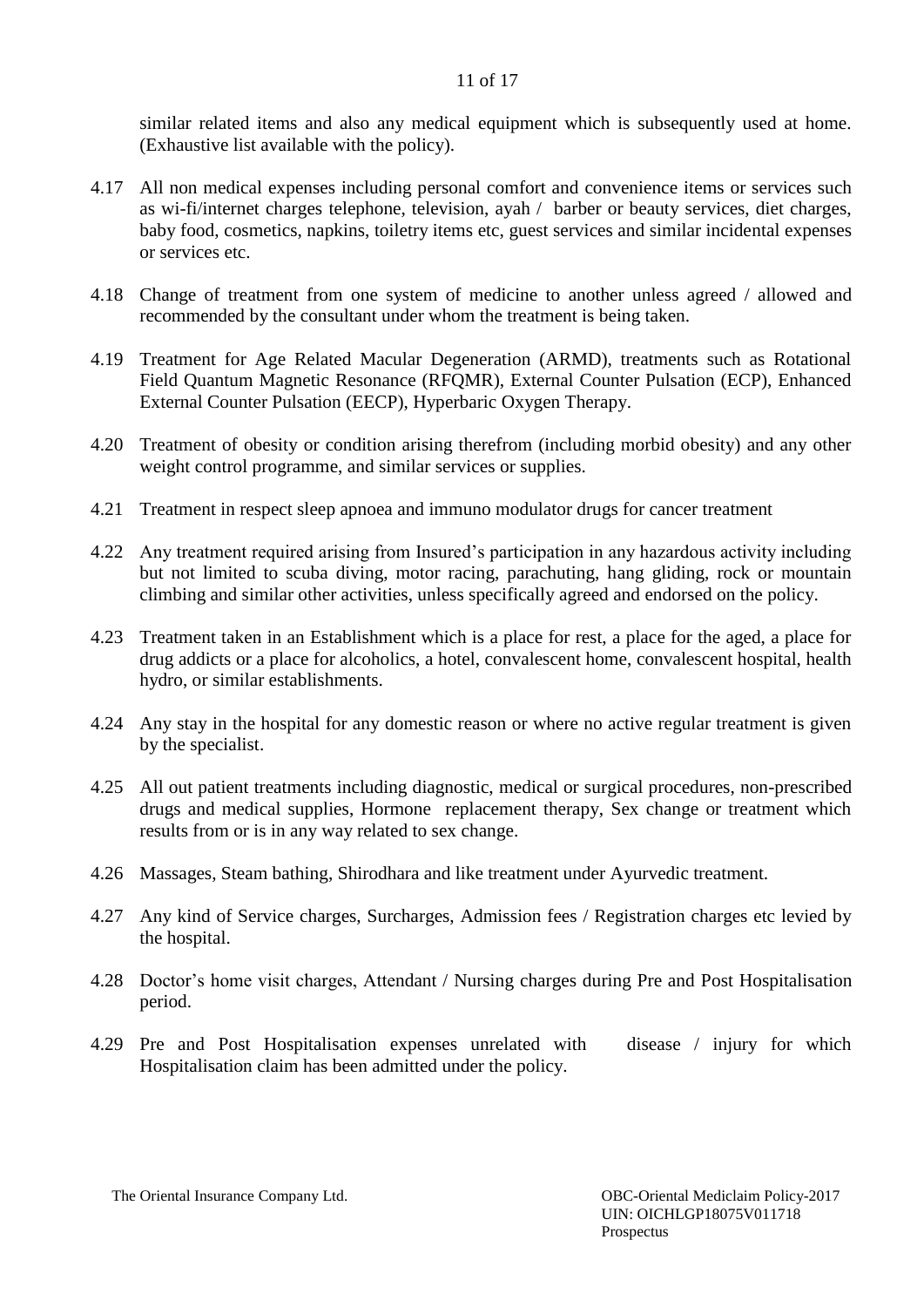similar related items and also any medical equipment which is subsequently used at home. (Exhaustive list available with the policy).

- 4.17 All non medical expenses including personal comfort and convenience items or services such as wi-fi/internet charges telephone, television, ayah / barber or beauty services, diet charges, baby food, cosmetics, napkins, toiletry items etc, guest services and similar incidental expenses or services etc.
- 4.18 Change of treatment from one system of medicine to another unless agreed / allowed and recommended by the consultant under whom the treatment is being taken.
- 4.19 Treatment for Age Related Macular Degeneration (ARMD), treatments such as Rotational Field Quantum Magnetic Resonance (RFQMR), External Counter Pulsation (ECP), Enhanced External Counter Pulsation (EECP), Hyperbaric Oxygen Therapy.
- 4.20 Treatment of obesity or condition arising therefrom (including morbid obesity) and any other weight control programme, and similar services or supplies.
- 4.21 Treatment in respect sleep apnoea and immuno modulator drugs for cancer treatment
- 4.22 Any treatment required arising from Insured's participation in any hazardous activity including but not limited to scuba diving, motor racing, parachuting, hang gliding, rock or mountain climbing and similar other activities, unless specifically agreed and endorsed on the policy.
- 4.23 Treatment taken in an Establishment which is a place for rest, a place for the aged, a place for drug addicts or a place for alcoholics, a hotel, convalescent home, convalescent hospital, health hydro, or similar establishments.
- 4.24 Any stay in the hospital for any domestic reason or where no active regular treatment is given by the specialist.
- 4.25 All out patient treatments including diagnostic, medical or surgical procedures, non-prescribed drugs and medical supplies, Hormone replacement therapy, Sex change or treatment which results from or is in any way related to sex change.
- 4.26 Massages, Steam bathing, Shirodhara and like treatment under Ayurvedic treatment.
- 4.27 Any kind of Service charges, Surcharges, Admission fees / Registration charges etc levied by the hospital.
- 4.28 Doctor's home visit charges, Attendant / Nursing charges during Pre and Post Hospitalisation period.
- 4.29 Pre and Post Hospitalisation expenses unrelated with disease / injury for which Hospitalisation claim has been admitted under the policy.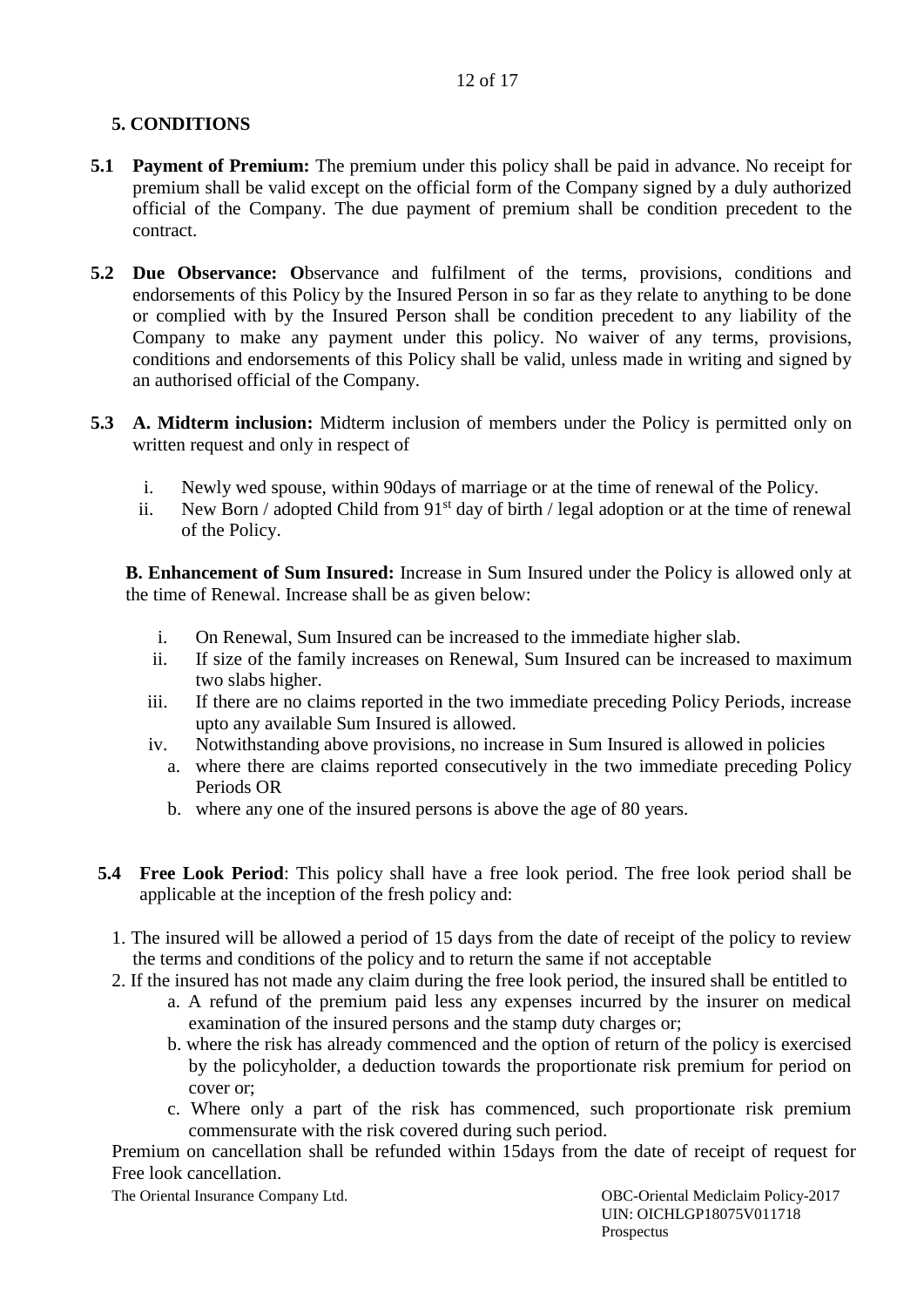# **5. CONDITIONS**

- **5.1 Payment of Premium:** The premium under this policy shall be paid in advance. No receipt for premium shall be valid except on the official form of the Company signed by a duly authorized official of the Company. The due payment of premium shall be condition precedent to the contract.
- **5.2 Due Observance: O**bservance and fulfilment of the terms, provisions, conditions and endorsements of this Policy by the Insured Person in so far as they relate to anything to be done or complied with by the Insured Person shall be condition precedent to any liability of the Company to make any payment under this policy. No waiver of any terms, provisions, conditions and endorsements of this Policy shall be valid, unless made in writing and signed by an authorised official of the Company.
- **5.3 A. Midterm inclusion:** Midterm inclusion of members under the Policy is permitted only on written request and only in respect of
	- i. Newly wed spouse, within 90days of marriage or at the time of renewal of the Policy.
	- ii. New Born / adopted Child from  $91<sup>st</sup>$  day of birth / legal adoption or at the time of renewal of the Policy.

**B. Enhancement of Sum Insured:** Increase in Sum Insured under the Policy is allowed only at the time of Renewal. Increase shall be as given below:

- i. On Renewal, Sum Insured can be increased to the immediate higher slab.
- ii. If size of the family increases on Renewal, Sum Insured can be increased to maximum two slabs higher.
- iii. If there are no claims reported in the two immediate preceding Policy Periods, increase upto any available Sum Insured is allowed.
- iv. Notwithstanding above provisions, no increase in Sum Insured is allowed in policies
	- a. where there are claims reported consecutively in the two immediate preceding Policy Periods OR
	- b. where any one of the insured persons is above the age of 80 years.
- **5.4 Free Look Period**: This policy shall have a free look period. The free look period shall be applicable at the inception of the fresh policy and:
	- 1. The insured will be allowed a period of 15 days from the date of receipt of the policy to review the terms and conditions of the policy and to return the same if not acceptable
	- 2. If the insured has not made any claim during the free look period, the insured shall be entitled to
		- a. A refund of the premium paid less any expenses incurred by the insurer on medical examination of the insured persons and the stamp duty charges or;
		- b. where the risk has already commenced and the option of return of the policy is exercised by the policyholder, a deduction towards the proportionate risk premium for period on cover or;
		- c. Where only a part of the risk has commenced, such proportionate risk premium commensurate with the risk covered during such period.

Premium on cancellation shall be refunded within 15days from the date of receipt of request for Free look cancellation.

The Oriental Insurance Company Ltd. 0BC-Oriental Mediclaim Policy-2017

 UIN: OICHLGP18075V011718 Prospectus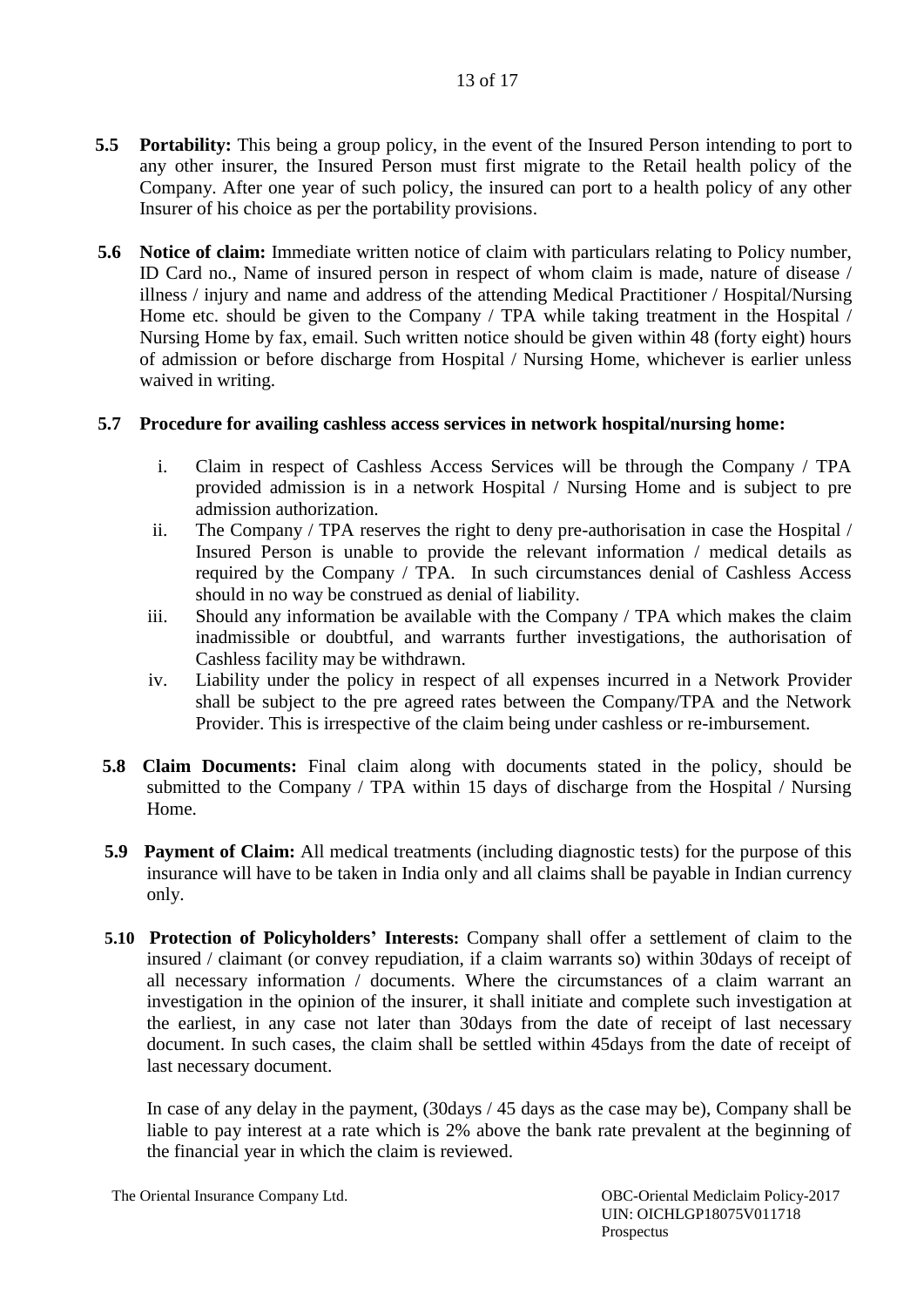- **5.5 Portability:** This being a group policy, in the event of the Insured Person intending to port to any other insurer, the Insured Person must first migrate to the Retail health policy of the Company. After one year of such policy, the insured can port to a health policy of any other Insurer of his choice as per the portability provisions.
- **5.6 Notice of claim:** Immediate written notice of claim with particulars relating to Policy number, ID Card no., Name of insured person in respect of whom claim is made, nature of disease / illness / injury and name and address of the attending Medical Practitioner / Hospital/Nursing Home etc. should be given to the Company / TPA while taking treatment in the Hospital / Nursing Home by fax, email. Such written notice should be given within 48 (forty eight) hours of admission or before discharge from Hospital / Nursing Home, whichever is earlier unless waived in writing.

## **5.7 Procedure for availing cashless access services in network hospital/nursing home:**

- i. Claim in respect of Cashless Access Services will be through the Company / TPA provided admission is in a network Hospital / Nursing Home and is subject to pre admission authorization.
- ii. The Company / TPA reserves the right to deny pre-authorisation in case the Hospital / Insured Person is unable to provide the relevant information / medical details as required by the Company / TPA. In such circumstances denial of Cashless Access should in no way be construed as denial of liability.
- iii. Should any information be available with the Company / TPA which makes the claim inadmissible or doubtful, and warrants further investigations, the authorisation of Cashless facility may be withdrawn.
- iv. Liability under the policy in respect of all expenses incurred in a Network Provider shall be subject to the pre agreed rates between the Company/TPA and the Network Provider. This is irrespective of the claim being under cashless or re-imbursement.
- **5.8 Claim Documents:** Final claim along with documents stated in the policy, should be submitted to the Company / TPA within 15 days of discharge from the Hospital / Nursing Home.
- **5.9 Payment of Claim:** All medical treatments (including diagnostic tests) for the purpose of this insurance will have to be taken in India only and all claims shall be payable in Indian currency only.
- **5.10 Protection of Policyholders' Interests:** Company shall offer a settlement of claim to the insured / claimant (or convey repudiation, if a claim warrants so) within 30days of receipt of all necessary information / documents. Where the circumstances of a claim warrant an investigation in the opinion of the insurer, it shall initiate and complete such investigation at the earliest, in any case not later than 30days from the date of receipt of last necessary document. In such cases, the claim shall be settled within 45days from the date of receipt of last necessary document.

In case of any delay in the payment, (30days / 45 days as the case may be), Company shall be liable to pay interest at a rate which is 2% above the bank rate prevalent at the beginning of the financial year in which the claim is reviewed.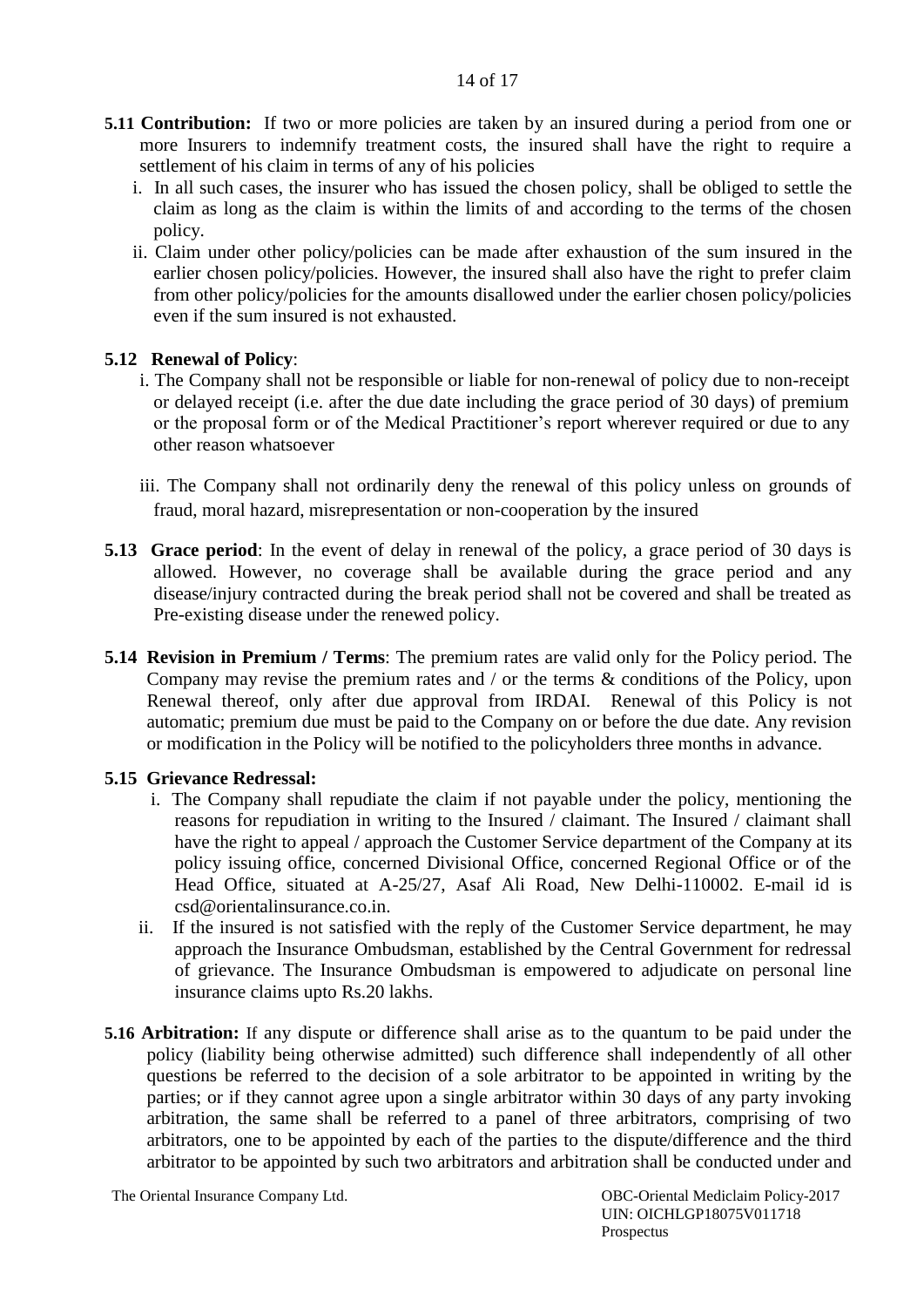- **5.11 Contribution:** If two or more policies are taken by an insured during a period from one or more Insurers to indemnify treatment costs, the insured shall have the right to require a settlement of his claim in terms of any of his policies
	- i. In all such cases, the insurer who has issued the chosen policy, shall be obliged to settle the claim as long as the claim is within the limits of and according to the terms of the chosen policy.
	- ii. Claim under other policy/policies can be made after exhaustion of the sum insured in the earlier chosen policy/policies. However, the insured shall also have the right to prefer claim from other policy/policies for the amounts disallowed under the earlier chosen policy/policies even if the sum insured is not exhausted.

### **5.12 Renewal of Policy**:

- i. The Company shall not be responsible or liable for non-renewal of policy due to non-receipt or delayed receipt (i.e. after the due date including the grace period of 30 days) of premium or the proposal form or of the Medical Practitioner's report wherever required or due to any other reason whatsoever
- iii. The Company shall not ordinarily deny the renewal of this policy unless on grounds of fraud, moral hazard, misrepresentation or non-cooperation by the insured
- **5.13 Grace period**: In the event of delay in renewal of the policy, a grace period of 30 days is allowed. However, no coverage shall be available during the grace period and any disease/injury contracted during the break period shall not be covered and shall be treated as Pre-existing disease under the renewed policy.
- **5.14 Revision in Premium / Terms**: The premium rates are valid only for the Policy period. The Company may revise the premium rates and / or the terms & conditions of the Policy, upon Renewal thereof, only after due approval from IRDAI. Renewal of this Policy is not automatic; premium due must be paid to the Company on or before the due date. Any revision or modification in the Policy will be notified to the policyholders three months in advance.

#### **5.15 Grievance Redressal:**

- i. The Company shall repudiate the claim if not payable under the policy, mentioning the reasons for repudiation in writing to the Insured / claimant. The Insured / claimant shall have the right to appeal / approach the Customer Service department of the Company at its policy issuing office, concerned Divisional Office, concerned Regional Office or of the Head Office, situated at A-25/27, Asaf Ali Road, New Delhi-110002. E-mail id is csd@orientalinsurance.co.in.
- ii. If the insured is not satisfied with the reply of the Customer Service department, he may approach the Insurance Ombudsman, established by the Central Government for redressal of grievance. The Insurance Ombudsman is empowered to adjudicate on personal line insurance claims upto Rs.20 lakhs.
- **5.16 Arbitration:** If any dispute or difference shall arise as to the quantum to be paid under the policy (liability being otherwise admitted) such difference shall independently of all other questions be referred to the decision of a sole arbitrator to be appointed in writing by the parties; or if they cannot agree upon a single arbitrator within 30 days of any party invoking arbitration, the same shall be referred to a panel of three arbitrators, comprising of two arbitrators, one to be appointed by each of the parties to the dispute/difference and the third arbitrator to be appointed by such two arbitrators and arbitration shall be conducted under and

The Oriental Insurance Company Ltd. 0BC-Oriental Mediclaim Policy-2017

 UIN: OICHLGP18075V011718 Prospectus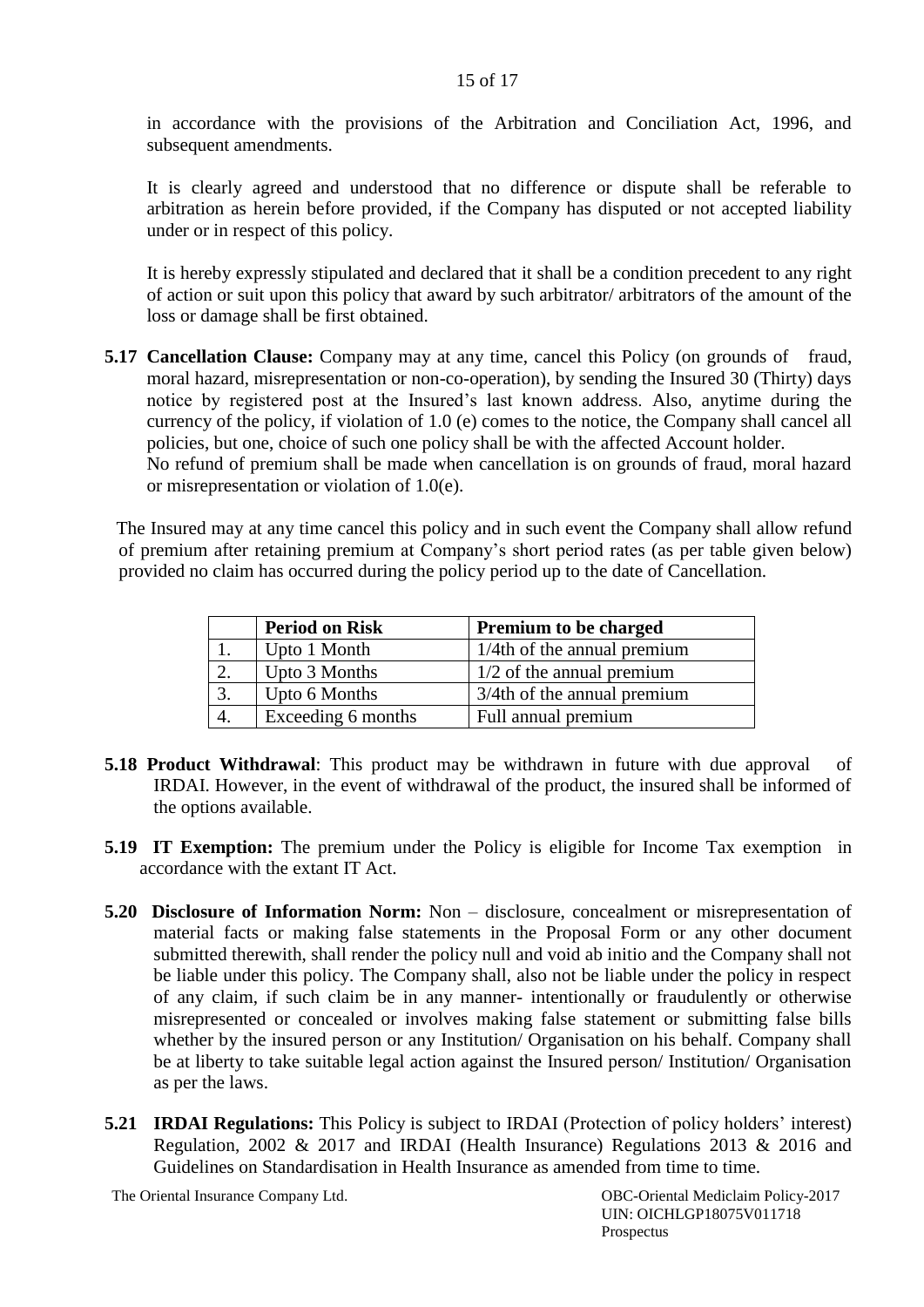in accordance with the provisions of the Arbitration and Conciliation Act, 1996, and subsequent amendments.

It is clearly agreed and understood that no difference or dispute shall be referable to arbitration as herein before provided, if the Company has disputed or not accepted liability under or in respect of this policy.

It is hereby expressly stipulated and declared that it shall be a condition precedent to any right of action or suit upon this policy that award by such arbitrator/ arbitrators of the amount of the loss or damage shall be first obtained.

**5.17 Cancellation Clause:** Company may at any time, cancel this Policy (on grounds of fraud, moral hazard, misrepresentation or non-co-operation), by sending the Insured 30 (Thirty) days notice by registered post at the Insured's last known address. Also, anytime during the currency of the policy, if violation of 1.0 (e) comes to the notice, the Company shall cancel all policies, but one, choice of such one policy shall be with the affected Account holder. No refund of premium shall be made when cancellation is on grounds of fraud, moral hazard or misrepresentation or violation of 1.0(e).

The Insured may at any time cancel this policy and in such event the Company shall allow refund of premium after retaining premium at Company's short period rates (as per table given below) provided no claim has occurred during the policy period up to the date of Cancellation.

|    | <b>Period on Risk</b> | <b>Premium to be charged</b>   |  |
|----|-----------------------|--------------------------------|--|
|    | Upto 1 Month          | $1/4$ th of the annual premium |  |
|    | Upto 3 Months         | $1/2$ of the annual premium    |  |
| 3. | Upto 6 Months         | 3/4th of the annual premium    |  |
|    | Exceeding 6 months    | Full annual premium            |  |

- **5.18 Product Withdrawal**: This product may be withdrawn in future with due approval of IRDAI. However, in the event of withdrawal of the product, the insured shall be informed of the options available.
- **5.19 IT Exemption:** The premium under the Policy is eligible for Income Tax exemption in accordance with the extant IT Act.
- **5.20 Disclosure of Information Norm:** Non disclosure, concealment or misrepresentation of material facts or making false statements in the Proposal Form or any other document submitted therewith, shall render the policy null and void ab initio and the Company shall not be liable under this policy. The Company shall, also not be liable under the policy in respect of any claim, if such claim be in any manner- intentionally or fraudulently or otherwise misrepresented or concealed or involves making false statement or submitting false bills whether by the insured person or any Institution/ Organisation on his behalf. Company shall be at liberty to take suitable legal action against the Insured person/ Institution/ Organisation as per the laws.
- **5.21 IRDAI Regulations:** This Policy is subject to IRDAI (Protection of policy holders' interest) Regulation, 2002 & 2017 and IRDAI (Health Insurance) Regulations 2013 & 2016 and Guidelines on Standardisation in Health Insurance as amended from time to time.

The Oriental Insurance Company Ltd. 0BC-Oriental Mediclaim Policy-2017 UIN: OICHLGP18075V011718 Prospectus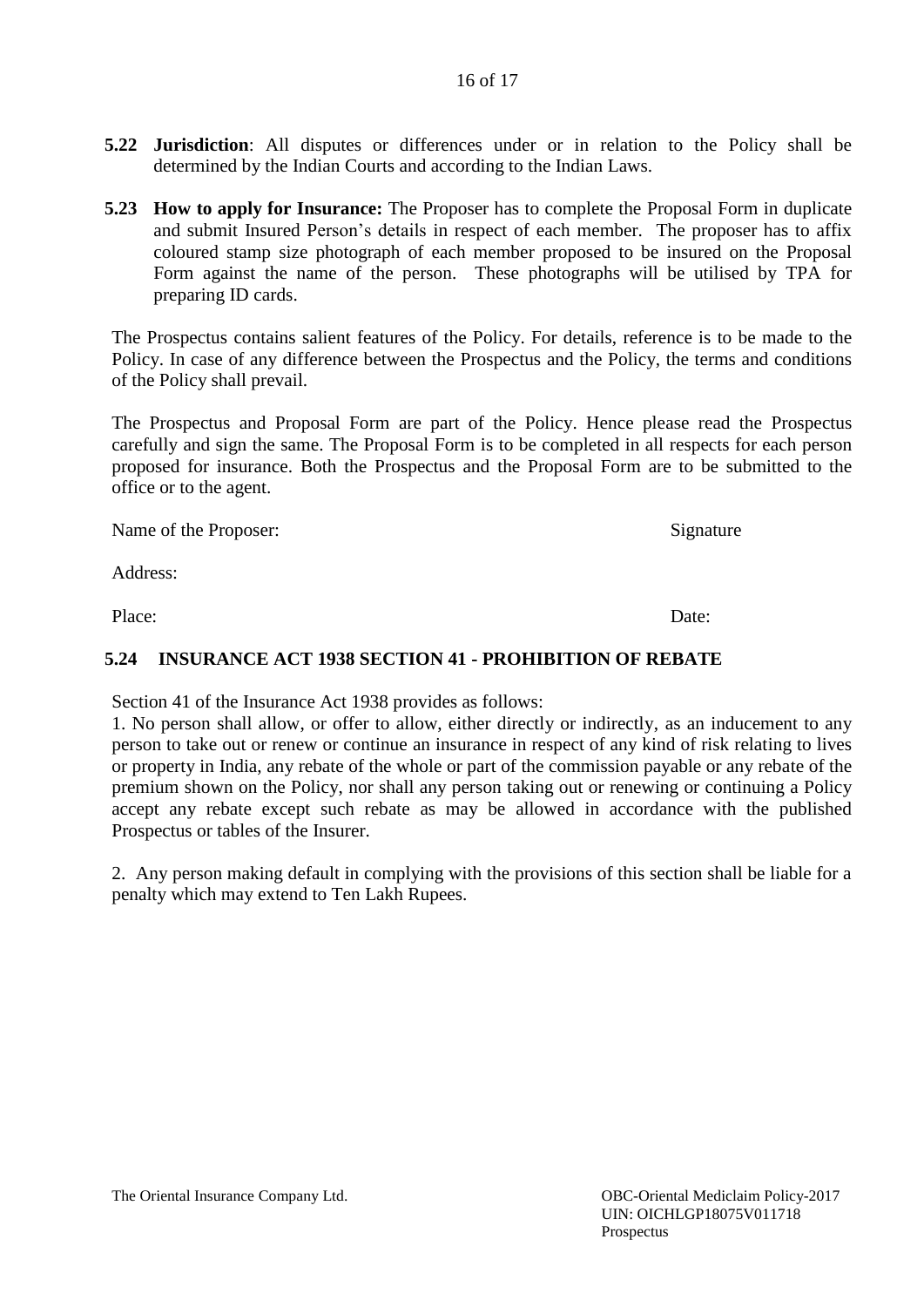## 16 of 17

- **5.22 Jurisdiction**: All disputes or differences under or in relation to the Policy shall be determined by the Indian Courts and according to the Indian Laws.
- **5.23 How to apply for Insurance:** The Proposer has to complete the Proposal Form in duplicate and submit Insured Person's details in respect of each member. The proposer has to affix coloured stamp size photograph of each member proposed to be insured on the Proposal Form against the name of the person. These photographs will be utilised by TPA for preparing ID cards.

The Prospectus contains salient features of the Policy. For details, reference is to be made to the Policy. In case of any difference between the Prospectus and the Policy, the terms and conditions of the Policy shall prevail.

The Prospectus and Proposal Form are part of the Policy. Hence please read the Prospectus carefully and sign the same. The Proposal Form is to be completed in all respects for each person proposed for insurance. Both the Prospectus and the Proposal Form are to be submitted to the office or to the agent.

Name of the Proposer: Signature

Address:

Place: Date:

## **5.24 INSURANCE ACT 1938 SECTION 41 - PROHIBITION OF REBATE**

Section 41 of the Insurance Act 1938 provides as follows:

1. No person shall allow, or offer to allow, either directly or indirectly, as an inducement to any person to take out or renew or continue an insurance in respect of any kind of risk relating to lives or property in India, any rebate of the whole or part of the commission payable or any rebate of the premium shown on the Policy, nor shall any person taking out or renewing or continuing a Policy accept any rebate except such rebate as may be allowed in accordance with the published Prospectus or tables of the Insurer.

2. Any person making default in complying with the provisions of this section shall be liable for a penalty which may extend to Ten Lakh Rupees.